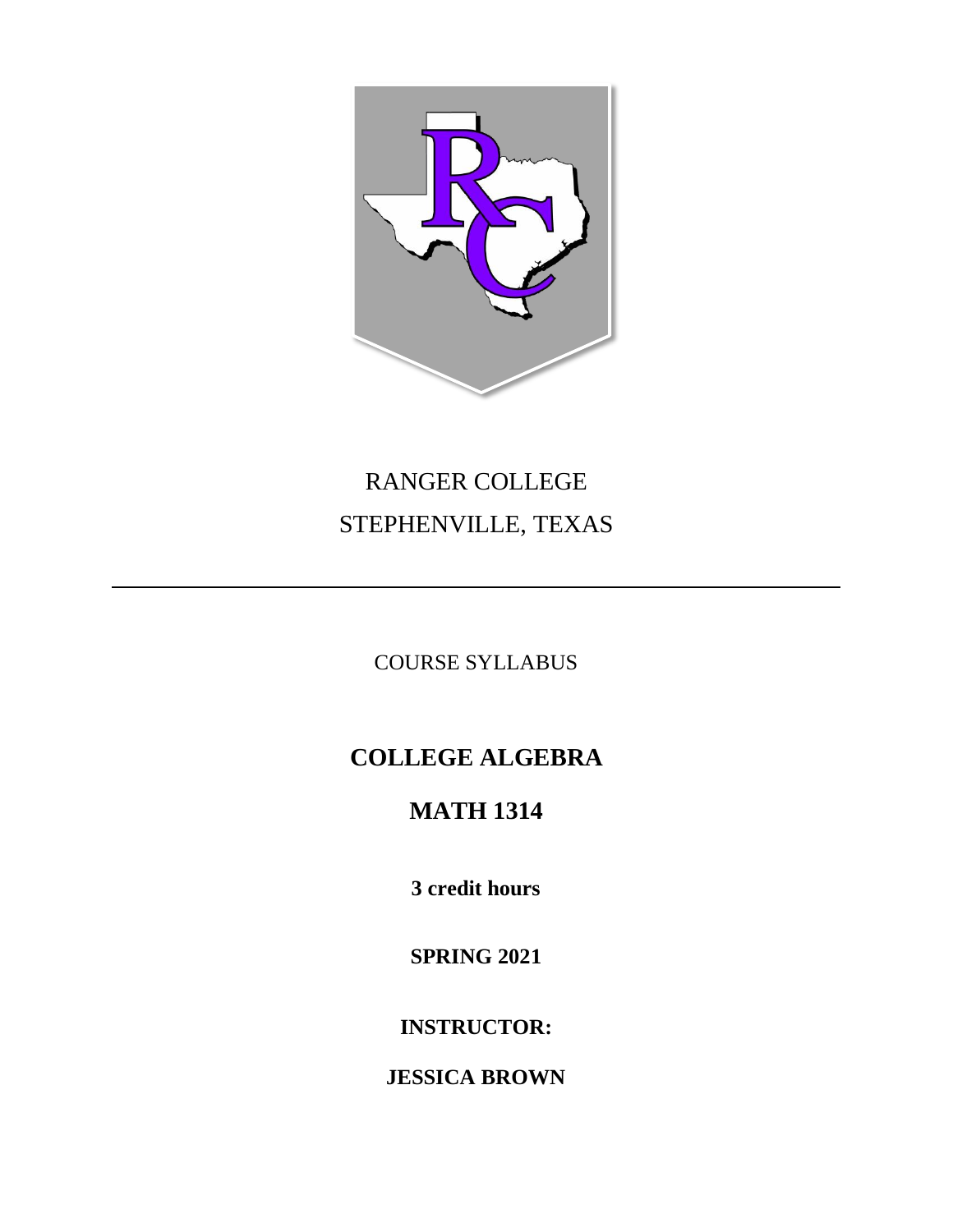

# RANGER COLLEGE STEPHENVILLE, TEXAS

COURSE SYLLABUS

# **COLLEGE ALGEBRA**

# **MATH 1314**

**3 credit hours**

**SPRING 2021**

**INSTRUCTOR:**

**JESSICA BROWN**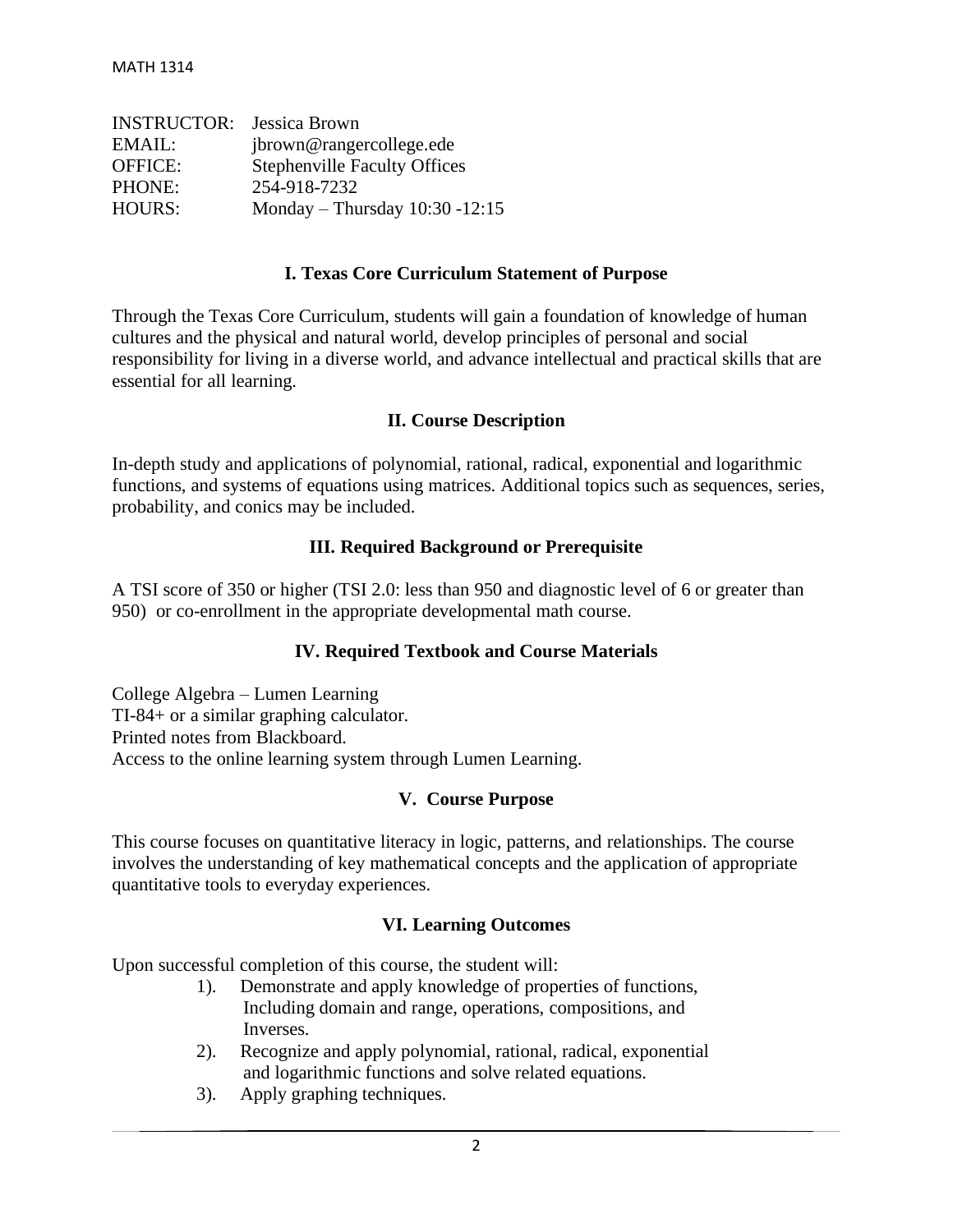| <b>INSTRUCTOR:</b> Jessica Brown |                                     |
|----------------------------------|-------------------------------------|
| EMAIL:                           | jbrown@rangercollege.ede            |
| <b>OFFICE:</b>                   | <b>Stephenville Faculty Offices</b> |
| PHONE:                           | 254-918-7232                        |
| <b>HOURS:</b>                    | Monday - Thursday 10:30 -12:15      |

#### **I. Texas Core Curriculum Statement of Purpose**

Through the Texas Core Curriculum, students will gain a foundation of knowledge of human cultures and the physical and natural world, develop principles of personal and social responsibility for living in a diverse world, and advance intellectual and practical skills that are essential for all learning.

#### **II. Course Description**

In-depth study and applications of polynomial, rational, radical, exponential and logarithmic functions, and systems of equations using matrices. Additional topics such as sequences, series, probability, and conics may be included.

#### **III. Required Background or Prerequisite**

A TSI score of 350 or higher (TSI 2.0: less than 950 and diagnostic level of 6 or greater than 950) or co-enrollment in the appropriate developmental math course.

#### **IV. Required Textbook and Course Materials**

College Algebra – Lumen Learning TI-84+ or a similar graphing calculator. Printed notes from Blackboard. Access to the online learning system through Lumen Learning.

#### **V. Course Purpose**

This course focuses on quantitative literacy in logic, patterns, and relationships. The course involves the understanding of key mathematical concepts and the application of appropriate quantitative tools to everyday experiences.

#### **VI. Learning Outcomes**

Upon successful completion of this course, the student will:

- 1). Demonstrate and apply knowledge of properties of functions, Including domain and range, operations, compositions, and Inverses.
- 2). Recognize and apply polynomial, rational, radical, exponential and logarithmic functions and solve related equations.
- 3). Apply graphing techniques.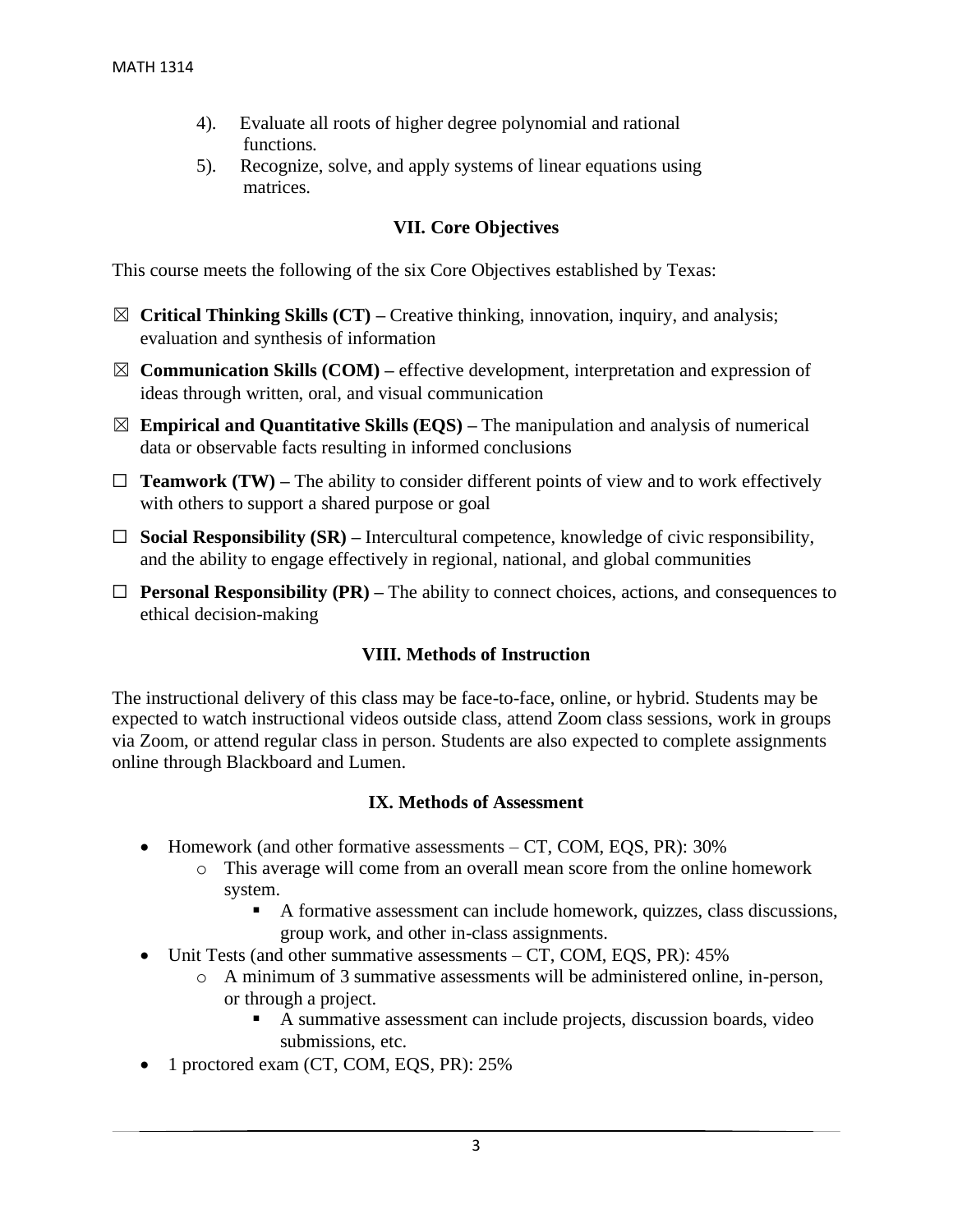- 4). Evaluate all roots of higher degree polynomial and rational functions.
- 5). Recognize, solve, and apply systems of linear equations using matrices.

## **VII. Core Objectives**

This course meets the following of the six Core Objectives established by Texas:

- ☒ **Critical Thinking Skills (CT) –** Creative thinking, innovation, inquiry, and analysis; evaluation and synthesis of information
- ☒ **Communication Skills (COM) –** effective development, interpretation and expression of ideas through written, oral, and visual communication
- $\boxtimes$  **Empirical and Quantitative Skills (EQS)** The manipulation and analysis of numerical data or observable facts resulting in informed conclusions
- $\Box$  **Teamwork (TW)** The ability to consider different points of view and to work effectively with others to support a shared purpose or goal
- ☐ **Social Responsibility (SR) –** Intercultural competence, knowledge of civic responsibility, and the ability to engage effectively in regional, national, and global communities
- $\Box$  **Personal Responsibility (PR)** The ability to connect choices, actions, and consequences to ethical decision-making

# **VIII. Methods of Instruction**

The instructional delivery of this class may be face-to-face, online, or hybrid. Students may be expected to watch instructional videos outside class, attend Zoom class sessions, work in groups via Zoom, or attend regular class in person. Students are also expected to complete assignments online through Blackboard and Lumen.

### **IX. Methods of Assessment**

- Homework (and other formative assessments CT, COM, EQS, PR): 30%
	- o This average will come from an overall mean score from the online homework system.
		- A formative assessment can include homework, quizzes, class discussions, group work, and other in-class assignments.
- Unit Tests (and other summative assessments CT, COM, EQS, PR): 45%
	- o A minimum of 3 summative assessments will be administered online, in-person, or through a project.
		- A summative assessment can include projects, discussion boards, video submissions, etc.
- 1 proctored exam (CT, COM, EOS, PR): 25%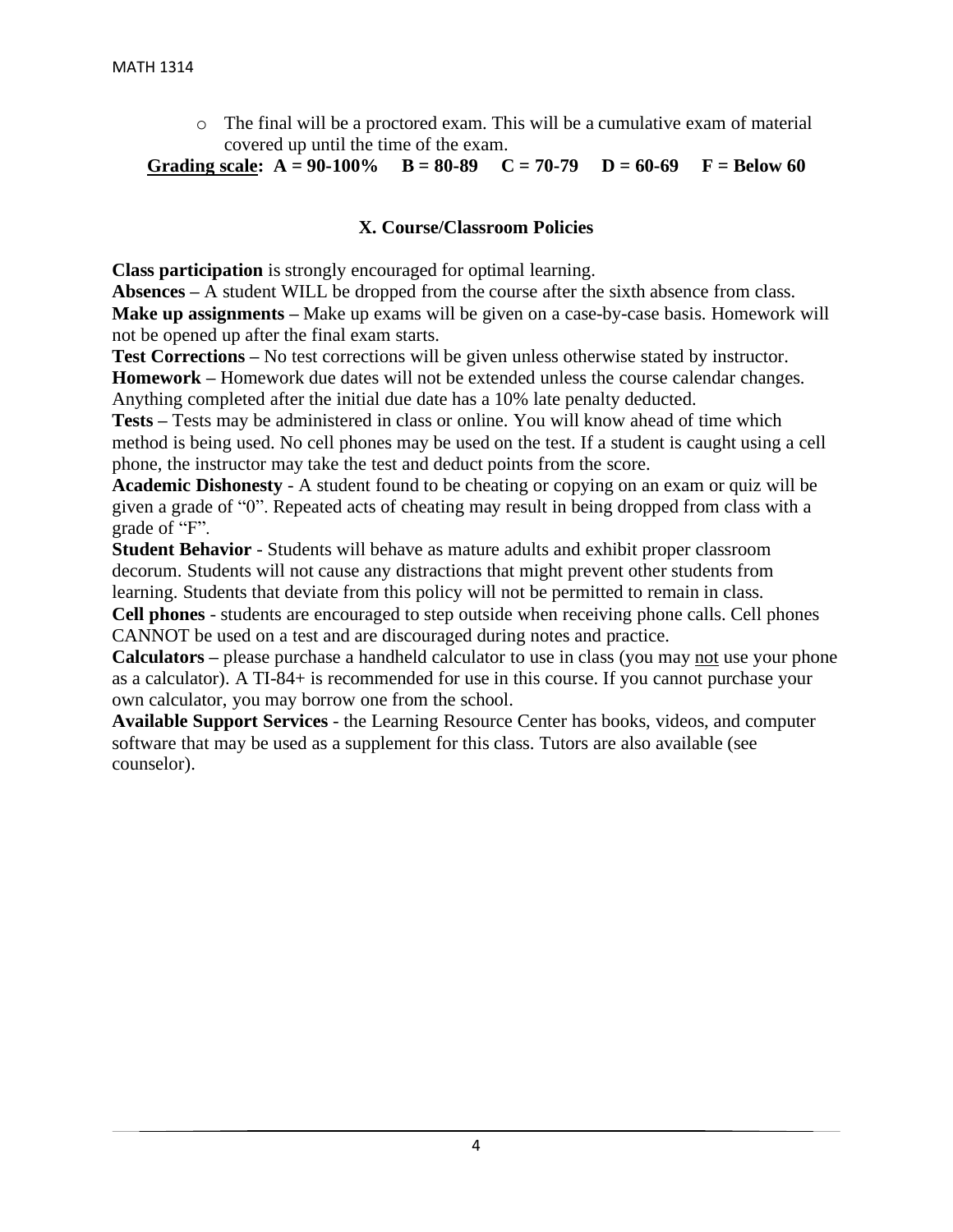o The final will be a proctored exam. This will be a cumulative exam of material covered up until the time of the exam.

Grading scale:  $A = 90-100\%$   $B = 80-89$   $C = 70-79$   $D = 60-69$   $F = Below 60$ 

#### **X. Course/Classroom Policies**

**Class participation** is strongly encouraged for optimal learning.

**Absences –** A student WILL be dropped from the course after the sixth absence from class. **Make up assignments –** Make up exams will be given on a case-by-case basis. Homework will not be opened up after the final exam starts.

**Test Corrections –** No test corrections will be given unless otherwise stated by instructor. **Homework –** Homework due dates will not be extended unless the course calendar changes.

Anything completed after the initial due date has a 10% late penalty deducted.

**Tests –** Tests may be administered in class or online. You will know ahead of time which method is being used. No cell phones may be used on the test. If a student is caught using a cell phone, the instructor may take the test and deduct points from the score.

**Academic Dishonesty** - A student found to be cheating or copying on an exam or quiz will be given a grade of "0". Repeated acts of cheating may result in being dropped from class with a grade of "F".

**Student Behavior** - Students will behave as mature adults and exhibit proper classroom decorum. Students will not cause any distractions that might prevent other students from learning. Students that deviate from this policy will not be permitted to remain in class.

**Cell phones** - students are encouraged to step outside when receiving phone calls. Cell phones CANNOT be used on a test and are discouraged during notes and practice.

**Calculators –** please purchase a handheld calculator to use in class (you may not use your phone as a calculator). A TI-84+ is recommended for use in this course. If you cannot purchase your own calculator, you may borrow one from the school.

**Available Support Services** - the Learning Resource Center has books, videos, and computer software that may be used as a supplement for this class. Tutors are also available (see counselor).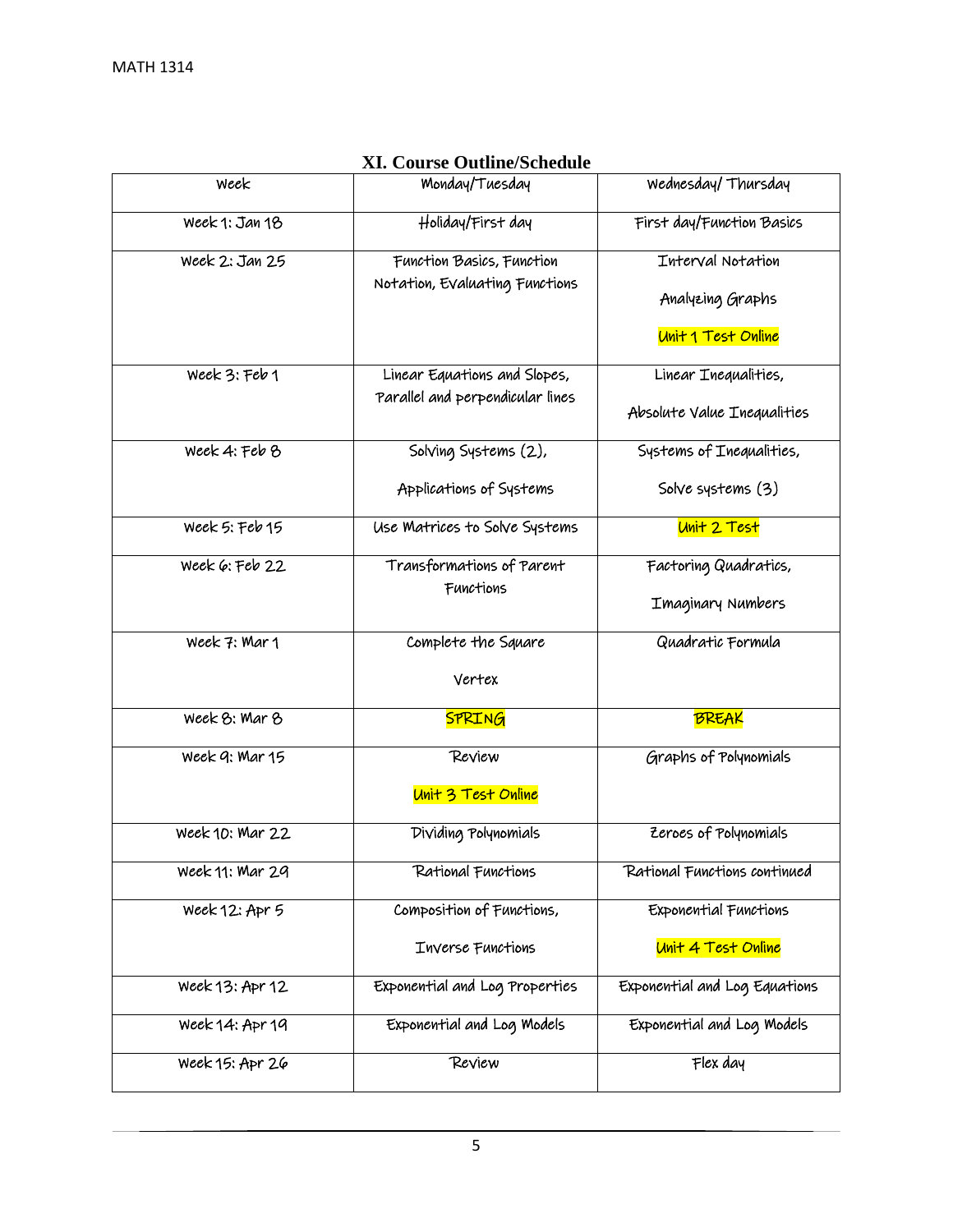| Week            | Monday/Tuesday                                                   | Wednesday/Thursday                                          |
|-----------------|------------------------------------------------------------------|-------------------------------------------------------------|
| Week 1: Jan 18  | Holiday/First day                                                | First day/Function Basics                                   |
| Week 2: Jan 25  | Function Basics, Function<br>Notation, Evaluating Functions      | Interval Notation<br>Analyzing Graphs<br>Unit 1 Test Online |
| Week 3: Feb 1   | Linear Equations and Slopes,<br>Parallel and perpendicular lines | Linear Inequalities,<br>Absolute Value Inequalities         |
| Week 4: Feb 8   | Solving Systems (2),                                             | Systems of Inequalities,                                    |
|                 | Applications of Systems                                          | Solve systems (3)                                           |
| Week 5: Feb 15  | Use Matrices to Solve Systems                                    | Unit 2 Test                                                 |
| Week 6: Feb 22  | Transformations of Parent<br>Functions                           | Factoring Quadratics,<br>Imaginary Numbers                  |
| Week 7: Mar 1   | Complete the Square                                              | Quadratic Formula                                           |
|                 | Vertex                                                           |                                                             |
| Week 8: Mar 8   | <b>SPRING</b>                                                    | <b>BREAK</b>                                                |
| Week 9: Mar 15  | Review<br>Unit 3 Test Online                                     | Graphs of Polynomials                                       |
| Week 10: Mar 22 | Dividing Polynomials                                             | Zeroes of Polynomials                                       |
| Week 11: Mar 29 | Rational Functions                                               | Rational Functions continued                                |
| Week 12: Apr 5  | Composition of Functions,                                        | Exponential Functions                                       |
|                 | Inverse Functions                                                | Unit 4 Test Online                                          |
| Week 13: Apr 12 | Exponential and Log Properties                                   | Exponential and Log Equations                               |
| Week 14: Apr 19 | Exponential and Log Models                                       | Exponential and Log Models                                  |
| Week 15: Apr 26 | Review                                                           | Flex day                                                    |

## **XI. Course Outline/Schedule**